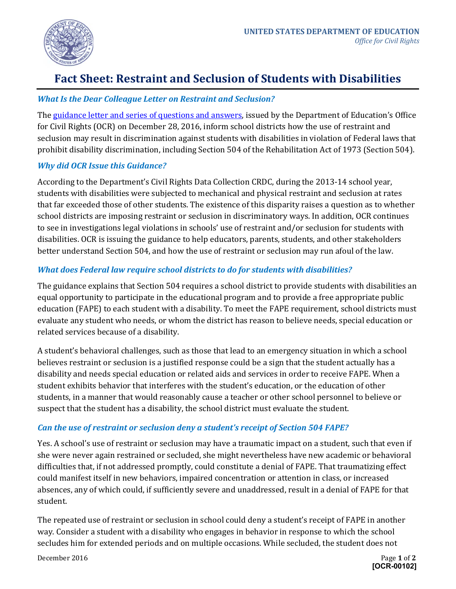

# **Fact Sheet: Restraint and Seclusion of Students with Disabilities**

#### *What Is the Dear Colleague Letter on Restraint and Seclusion?*

Th[e guidance letter and series of questions and answers,](http://www2.ed.gov/about/offices/list/ocr/letters/colleague-201612-504-restraint-seclusion-ps.pdf) issued by the Department of Education's Office for Civil Rights (OCR) on December 28, 2016, inform school districts how the use of restraint and seclusion may result in discrimination against students with disabilities in violation of Federal laws that prohibit disability discrimination, including Section 504 of the Rehabilitation Act of 1973 (Section 504).

#### *Why did OCR Issue this Guidance?*

According to the Department's Civil Rights Data Collection CRDC, during the 2013-14 school year, students with disabilities were subjected to mechanical and physical restraint and seclusion at rates that far exceeded those of other students. The existence of this disparity raises a question as to whether school districts are imposing restraint or seclusion in discriminatory ways. In addition, OCR continues to see in investigations legal violations in schools' use of restraint and/or seclusion for students with disabilities. OCR is issuing the guidance to help educators, parents, students, and other stakeholders better understand Section 504, and how the use of restraint or seclusion may run afoul of the law.

### *What does Federal law require school districts to do for students with disabilities?*

The guidance explains that Section 504 requires a school district to provide students with disabilities an equal opportunity to participate in the educational program and to provide a free appropriate public education (FAPE) to each student with a disability. To meet the FAPE requirement, school districts must evaluate any student who needs, or whom the district has reason to believe needs, special education or related services because of a disability.

A student's behavioral challenges, such as those that lead to an emergency situation in which a school believes restraint or seclusion is a justified response could be a sign that the student actually has a disability and needs special education or related aids and services in order to receive FAPE. When a student exhibits behavior that interferes with the student's education, or the education of other students, in a manner that would reasonably cause a teacher or other school personnel to believe or suspect that the student has a disability, the school district must evaluate the student.

#### *Can the use of restraint or seclusion deny a student's receipt of Section 504 FAPE?*

Yes. A school's use of restraint or seclusion may have a traumatic impact on a student, such that even if she were never again restrained or secluded, she might nevertheless have new academic or behavioral difficulties that, if not addressed promptly, could constitute a denial of FAPE. That traumatizing effect could manifest itself in new behaviors, impaired concentration or attention in class, or increased absences, any of which could, if sufficiently severe and unaddressed, result in a denial of FAPE for that student.

The repeated use of restraint or seclusion in school could deny a student's receipt of FAPE in another way. Consider a student with a disability who engages in behavior in response to which the school secludes him for extended periods and on multiple occasions. While secluded, the student does not